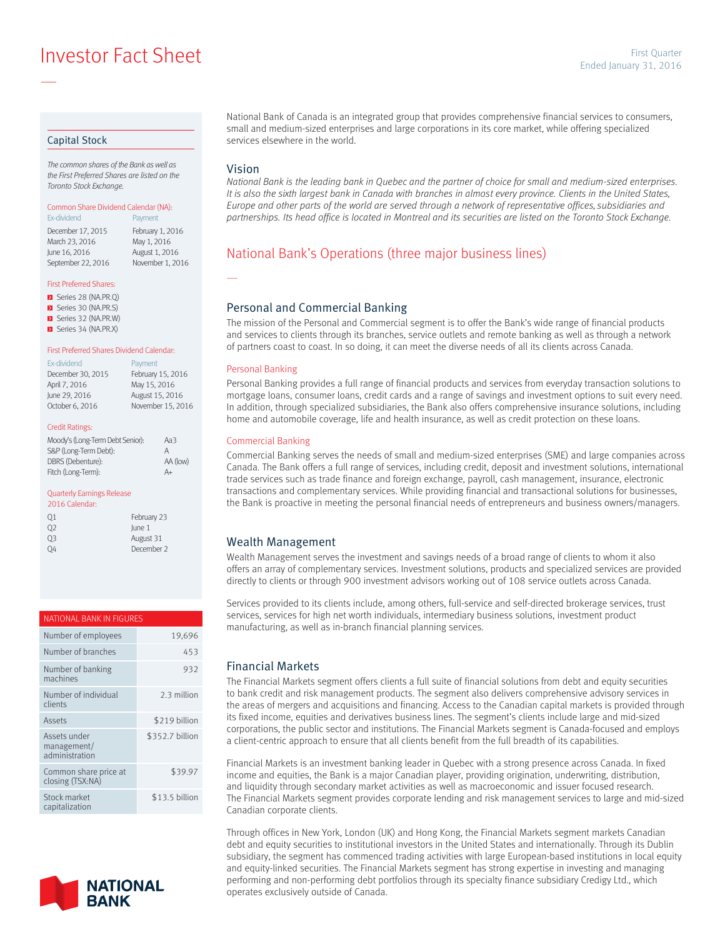**Example 2016** Investor Fact Sheet Sheet Sheet Sheet Sheet Sheet Sheet Sheet Sheet Sheet Sheet Sheet Sheet Sheet Sheet Sheet Sheet Sheet Sheet Sheet Sheet Sheet Sheet Sheet Sheet Sheet Sheet Sheet Sheet Sheet Sheet Sheet S

### Capital Stock

—

*The common shares of the Bank as well as the First Preferred Shares are listed on the Toronto Stock Exchange.*

#### Common Share Dividend Calendar (NA): Ex-dividend **Payment**

December 17, 2015 February 1, 2016<br>March 23, 2016 May 1, 2016 March 23, 2016 June 16, 2016 August 1, 2016 September 22, 2016 November 1, 2016

#### First Preferred Shares:

- Series 28 (NA.PR.Q)
- Series 30 (NA.PR.S)
- Series 32 (NA.PR.W) Series 34 (NA.PR.X)

#### First Preferred Shares Dividend Calendar:

| Ex-dividend       | Payment           |
|-------------------|-------------------|
| December 30, 2015 | February 15, 2016 |
| April 7, 2016     | May 15, 2016      |
| June 29, 2016     | August 15, 2016   |
| October 6, 2016   | November 15, 2016 |

#### Credit Ratings:

| Moody's (Long-Term Debt Senior): | Aa3      |
|----------------------------------|----------|
| S&P (Long-Term Debt):            | А        |
| DBRS (Debenture):                | AA (low) |
| Fitch (Long-Term):               | A+       |

#### Quarterly Earnings Release

| 2016 Calendar: |             |
|----------------|-------------|
| Q1             | February 23 |
| 02             | lune 1      |
| 03             | August 31   |
| OΔ             | December 2  |

## NATIONAL BANK IN FIGURES

| Number of employees                           | 19.696          |
|-----------------------------------------------|-----------------|
| Number of branches                            | 453             |
| Number of banking<br>machines                 | 932             |
| Number of individual<br>clients               | 2.3 million     |
| Assets                                        | \$219 billion   |
| Assets under<br>management/<br>administration | \$352.7 billion |
| Common share price at<br>closing (TSX:NA)     | \$39.97         |
| Stock market<br>capitalization                | \$13.5 billion  |



National Bank of Canada is an integrated group that provides comprehensive financial services to consumers, small and medium-sized enterprises and large corporations in its core market, while offering specialized services elsewhere in the world.

### Vision

—

*National Bank is the leading bank in Quebec and the partner of choice for small and medium-sized enterprises.*  It is also the sixth largest bank in Canada with branches in almost every province. Clients in the United States, *Europe and other parts of the world are served through a network of representative offices, subsidiaries and partnerships. Its head office is located in Montreal and its securities are listed on the Toronto Stock Exchange.*

## National Bank's Operations (three major business lines)

### Personal and Commercial Banking

The mission of the Personal and Commercial segment is to offer the Bank's wide range of financial products and services to clients through its branches, service outlets and remote banking as well as through a network of partners coast to coast. In so doing, it can meet the diverse needs of all its clients across Canada.

#### Personal Banking

Personal Banking provides a full range of financial products and services from everyday transaction solutions to mortgage loans, consumer loans, credit cards and a range of savings and investment options to suit every need. In addition, through specialized subsidiaries, the Bank also offers comprehensive insurance solutions, including home and automobile coverage, life and health insurance, as well as credit protection on these loans.

#### Commercial Banking

Commercial Banking serves the needs of small and medium-sized enterprises (SME) and large companies across Canada. The Bank offers a full range of services, including credit, deposit and investment solutions, international trade services such as trade finance and foreign exchange, payroll, cash management, insurance, electronic transactions and complementary services. While providing financial and transactional solutions for businesses, the Bank is proactive in meeting the personal financial needs of entrepreneurs and business owners/managers.

### Wealth Management

Wealth Management serves the investment and savings needs of a broad range of clients to whom it also offers an array of complementary services. Investment solutions, products and specialized services are provided directly to clients or through 900 investment advisors working out of 108 service outlets across Canada.

Services provided to its clients include, among others, full-service and self-directed brokerage services, trust services, services for high net worth individuals, intermediary business solutions, investment product manufacturing, as well as in-branch financial planning services.

### Financial Markets

The Financial Markets segment offers clients a full suite of financial solutions from debt and equity securities to bank credit and risk management products. The segment also delivers comprehensive advisory services in the areas of mergers and acquisitions and financing. Access to the Canadian capital markets is provided through its fixed income, equities and derivatives business lines. The segment's clients include large and mid-sized corporations, the public sector and institutions. The Financial Markets segment is Canada-focused and employs a client-centric approach to ensure that all clients benefit from the full breadth of its capabilities.

Financial Markets is an investment banking leader in Quebec with a strong presence across Canada. In fixed income and equities, the Bank is a major Canadian player, providing origination, underwriting, distribution, and liquidity through secondary market activities as well as macroeconomic and issuer focused research. The Financial Markets segment provides corporate lending and risk management services to large and mid-sized Canadian corporate clients.

Through offices in New York, London (UK) and Hong Kong, the Financial Markets segment markets Canadian debt and equity securities to institutional investors in the United States and internationally. Through its Dublin subsidiary, the segment has commenced trading activities with large European-based institutions in local equity and equity-linked securities. The Financial Markets segment has strong expertise in investing and managing performing and non-performing debt portfolios through its specialty finance subsidiary Credigy Ltd., which operates exclusively outside of Canada.